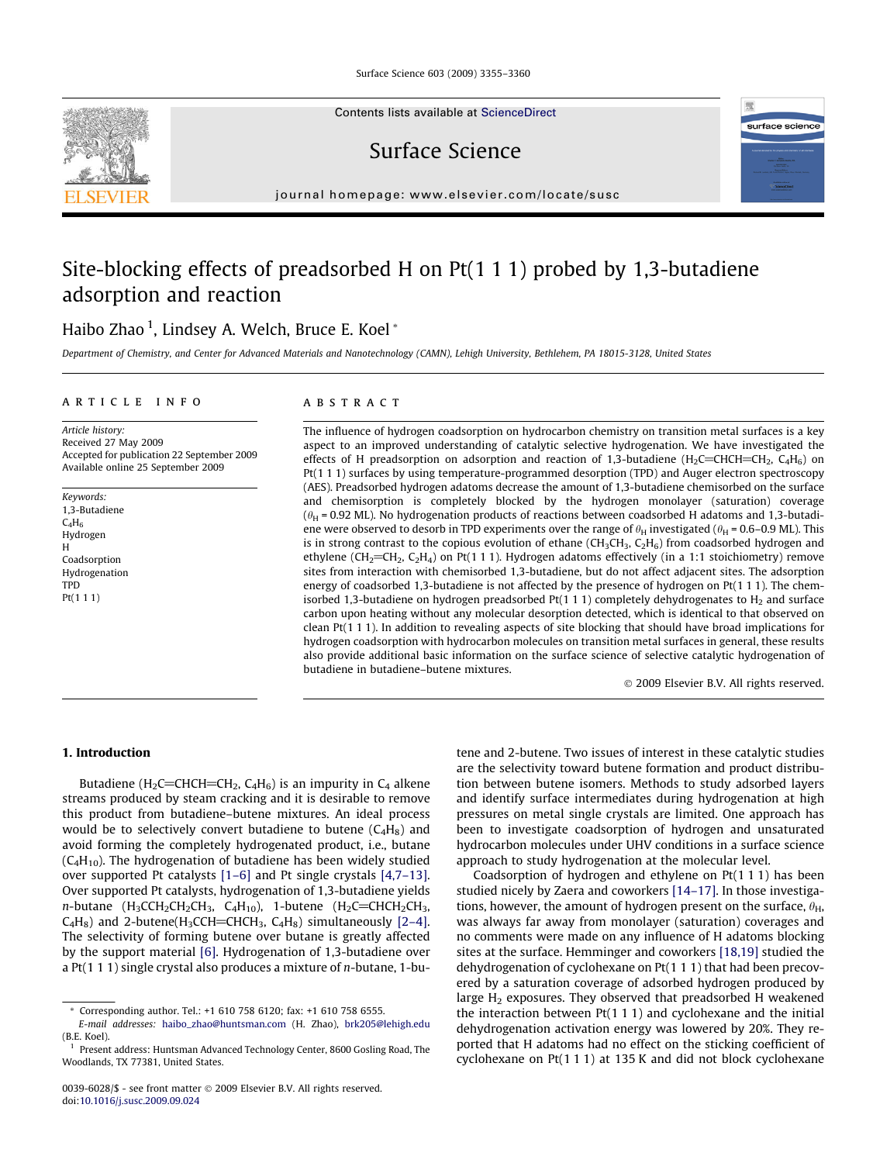Surface Science 603 (2009) 3355–3360

Contents lists available at [ScienceDirect](http://www.sciencedirect.com/science/journal/00396028)

Surface Science

journal homepage: [www.elsevier.com/locate/susc](http://www.elsevier.com/locate/susc)

# Site-blocking effects of preadsorbed H on Pt(1 1 1) probed by 1,3-butadiene adsorption and reaction

# Haibo Zhao <sup>1</sup>, Lindsey A. Welch, Bruce E. Koel \*

Department of Chemistry, and Center for Advanced Materials and Nanotechnology (CAMN), Lehigh University, Bethlehem, PA 18015-3128, United States

#### article info

Article history: Received 27 May 2009 Accepted for publication 22 September 2009 Available online 25 September 2009

Keywords: 1,3-Butadiene  $C_4H_6$ Hydrogen H Coadsorption Hydrogenation TPD Pt(1 1 1)

#### ABSTRACT

The influence of hydrogen coadsorption on hydrocarbon chemistry on transition metal surfaces is a key aspect to an improved understanding of catalytic selective hydrogenation. We have investigated the effects of H preadsorption on adsorption and reaction of 1,3-butadiene (H<sub>2</sub>C=CHCH=CH<sub>2</sub>, C<sub>4</sub>H<sub>6</sub>) on Pt(1 1 1) surfaces by using temperature-programmed desorption (TPD) and Auger electron spectroscopy (AES). Preadsorbed hydrogen adatoms decrease the amount of 1,3-butadiene chemisorbed on the surface and chemisorption is completely blocked by the hydrogen monolayer (saturation) coverage  $(\theta_H = 0.92$  ML). No hydrogenation products of reactions between coadsorbed H adatoms and 1,3-butadiene were observed to desorb in TPD experiments over the range of  $\theta_H$  investigated ( $\theta_H$  = 0.6–0.9 ML). This is in strong contrast to the copious evolution of ethane (CH<sub>3</sub>CH<sub>3</sub>, C<sub>2</sub>H<sub>6</sub>) from coadsorbed hydrogen and ethylene (CH<sub>2</sub>=CH<sub>2</sub>, C<sub>2</sub>H<sub>4</sub>) on Pt(1 1 1). Hydrogen adatoms effectively (in a 1:1 stoichiometry) remove sites from interaction with chemisorbed 1,3-butadiene, but do not affect adjacent sites. The adsorption energy of coadsorbed 1,3-butadiene is not affected by the presence of hydrogen on Pt(1 1 1). The chemisorbed 1,3-butadiene on hydrogen preadsorbed Pt $(1 1 1)$  completely dehydrogenates to H<sub>2</sub> and surface carbon upon heating without any molecular desorption detected, which is identical to that observed on clean Pt(1 1 1). In addition to revealing aspects of site blocking that should have broad implications for hydrogen coadsorption with hydrocarbon molecules on transition metal surfaces in general, these results also provide additional basic information on the surface science of selective catalytic hydrogenation of butadiene in butadiene–butene mixtures.

- 2009 Elsevier B.V. All rights reserved.

surface science

## 1. Introduction

Butadiene (H<sub>2</sub>C=CHCH=CH<sub>2</sub>, C<sub>4</sub>H<sub>6</sub>) is an impurity in C<sub>4</sub> alkene streams produced by steam cracking and it is desirable to remove this product from butadiene–butene mixtures. An ideal process would be to selectively convert butadiene to butene  $(C_4H_8)$  and avoid forming the completely hydrogenated product, i.e., butane  $(C_4H_{10})$ . The hydrogenation of butadiene has been widely studied over supported Pt catalysts [\[1–6\]](#page-5-0) and Pt single crystals [\[4,7–13\].](#page-5-0) Over supported Pt catalysts, hydrogenation of 1,3-butadiene yields  $n$ -butane (H<sub>3</sub>CCH<sub>2</sub>CH<sub>2</sub>CH<sub>3</sub>, C<sub>4</sub>H<sub>10</sub>), 1-butene (H<sub>2</sub>C=CHCH<sub>2</sub>CH<sub>3</sub>,  $C_4H_8$ ) and 2-butene(H<sub>3</sub>CCH=CHCH<sub>3</sub>,  $C_4H_8$ ) simultaneously [\[2–4\].](#page-5-0) The selectivity of forming butene over butane is greatly affected by the support material [\[6\]](#page-5-0). Hydrogenation of 1,3-butadiene over a Pt(1 1 1) single crystal also produces a mixture of n-butane, 1-butene and 2-butene. Two issues of interest in these catalytic studies are the selectivity toward butene formation and product distribution between butene isomers. Methods to study adsorbed layers and identify surface intermediates during hydrogenation at high pressures on metal single crystals are limited. One approach has been to investigate coadsorption of hydrogen and unsaturated hydrocarbon molecules under UHV conditions in a surface science approach to study hydrogenation at the molecular level.

Coadsorption of hydrogen and ethylene on Pt(1 1 1) has been studied nicely by Zaera and coworkers [\[14–17\].](#page-5-0) In those investigations, however, the amount of hydrogen present on the surface,  $\theta_H$ , was always far away from monolayer (saturation) coverages and no comments were made on any influence of H adatoms blocking sites at the surface. Hemminger and coworkers [\[18,19\]](#page-5-0) studied the dehydrogenation of cyclohexane on Pt(1 1 1) that had been precovered by a saturation coverage of adsorbed hydrogen produced by large  $H_2$  exposures. They observed that preadsorbed H weakened the interaction between  $Pt(1 1 1)$  and cyclohexane and the initial dehydrogenation activation energy was lowered by 20%. They reported that H adatoms had no effect on the sticking coefficient of cyclohexane on Pt(1 1 1) at 135 K and did not block cyclohexane

<sup>\*</sup> Corresponding author. Tel.: +1 610 758 6120; fax: +1 610 758 6555.

E-mail addresses: [haibo\\_zhao@huntsman.com](mailto:haibo_zhao@huntsman.com) (H. Zhao), [brk205@lehigh.edu](mailto:brk205@lehigh.edu) (B.E. Koel).

Present address: Huntsman Advanced Technology Center, 8600 Gosling Road, The Woodlands, TX 77381, United States.

<sup>0039-6028/\$ -</sup> see front matter © 2009 Elsevier B.V. All rights reserved. doi[:10.1016/j.susc.2009.09.024](http://dx.doi.org/10.1016/j.susc.2009.09.024)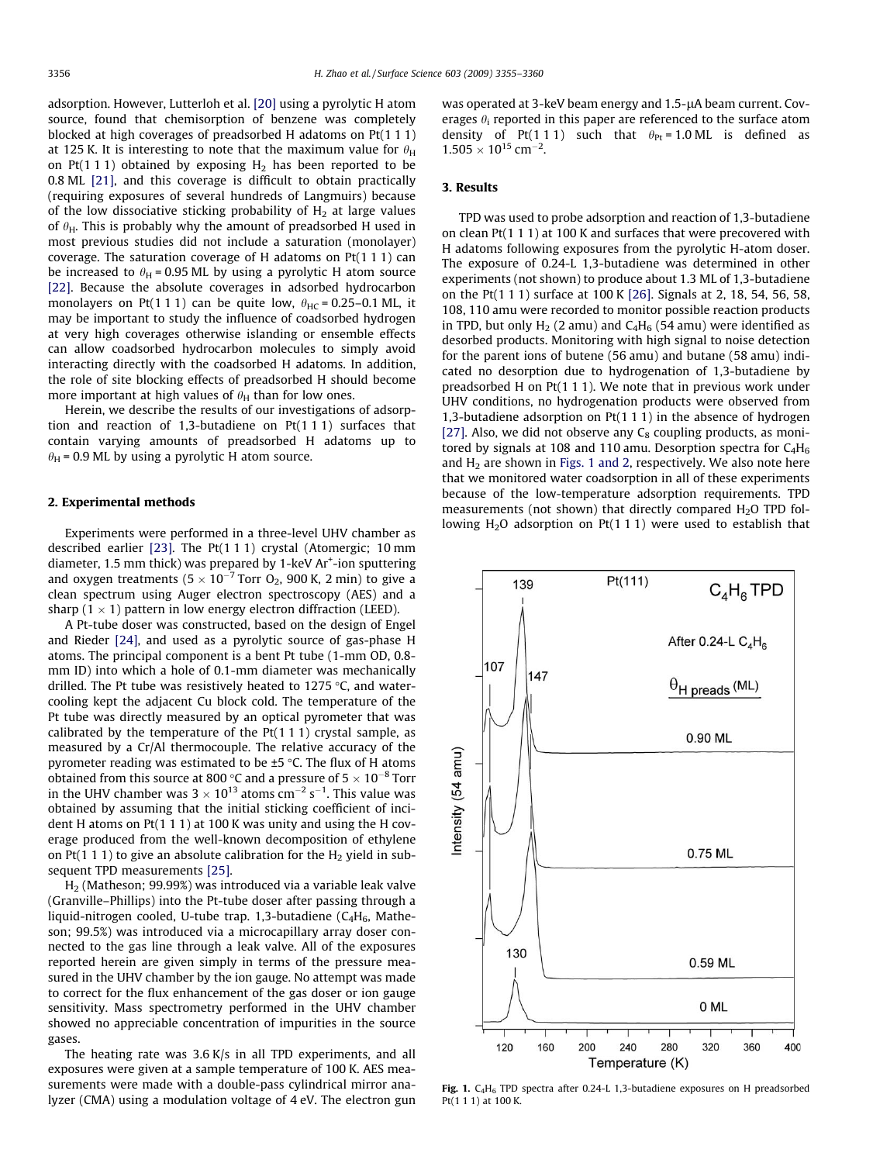<span id="page-1-0"></span>adsorption. However, Lutterloh et al. [\[20\]](#page-5-0) using a pyrolytic H atom source, found that chemisorption of benzene was completely blocked at high coverages of preadsorbed H adatoms on Pt(1 1 1) at 125 K. It is interesting to note that the maximum value for  $\theta_H$ on Pt(1 1 1) obtained by exposing  $H_2$  has been reported to be 0.8 ML [\[21\],](#page-5-0) and this coverage is difficult to obtain practically (requiring exposures of several hundreds of Langmuirs) because of the low dissociative sticking probability of  $H_2$  at large values of  $\theta_H$ . This is probably why the amount of preadsorbed H used in most previous studies did not include a saturation (monolayer) coverage. The saturation coverage of H adatoms on Pt(1 1 1) can be increased to  $\theta_H$  = 0.95 ML by using a pyrolytic H atom source [\[22\]](#page-5-0). Because the absolute coverages in adsorbed hydrocarbon monolayers on Pt(1 1 1) can be quite low,  $\theta_{HC} = 0.25-0.1$  ML, it may be important to study the influence of coadsorbed hydrogen at very high coverages otherwise islanding or ensemble effects can allow coadsorbed hydrocarbon molecules to simply avoid interacting directly with the coadsorbed H adatoms. In addition, the role of site blocking effects of preadsorbed H should become more important at high values of  $\theta_H$  than for low ones.

Herein, we describe the results of our investigations of adsorption and reaction of 1,3-butadiene on Pt(1 1 1) surfaces that contain varying amounts of preadsorbed H adatoms up to  $\theta_H$  = 0.9 ML by using a pyrolytic H atom source.

#### 2. Experimental methods

Experiments were performed in a three-level UHV chamber as described earlier [\[23\].](#page-5-0) The Pt(1 1 1) crystal (Atomergic; 10 mm diameter, 1.5 mm thick) was prepared by 1-keV Ar<sup>+</sup>-ion sputtering and oxygen treatments (5  $\times$  10 $^{-7}$  Torr O<sub>2</sub>, 900 K, 2 min) to give a clean spectrum using Auger electron spectroscopy (AES) and a sharp (1  $\times$  1) pattern in low energy electron diffraction (LEED).

A Pt-tube doser was constructed, based on the design of Engel and Rieder [\[24\]](#page-5-0), and used as a pyrolytic source of gas-phase H atoms. The principal component is a bent Pt tube (1-mm OD, 0.8 mm ID) into which a hole of 0.1-mm diameter was mechanically drilled. The Pt tube was resistively heated to 1275  $\degree$ C, and watercooling kept the adjacent Cu block cold. The temperature of the Pt tube was directly measured by an optical pyrometer that was calibrated by the temperature of the Pt(1 1 1) crystal sample, as measured by a Cr/Al thermocouple. The relative accuracy of the pyrometer reading was estimated to be  $\pm$ 5 °C. The flux of H atoms obtained from this source at 800 °C and a pressure of 5  $\times$  10<sup>-8</sup> Torr in the UHV chamber was 3  $\times$  10<sup>13</sup> atoms cm<sup>-2</sup> s<sup>-1</sup>. This value was obtained by assuming that the initial sticking coefficient of incident H atoms on Pt(1 1 1) at 100 K was unity and using the H coverage produced from the well-known decomposition of ethylene on Pt(1 1 1) to give an absolute calibration for the  $H_2$  yield in subsequent TPD measurements [\[25\].](#page-5-0)

H2 (Matheson; 99.99%) was introduced via a variable leak valve (Granville–Phillips) into the Pt-tube doser after passing through a liquid-nitrogen cooled, U-tube trap. 1,3-butadiene ( $C_4H_6$ , Matheson; 99.5%) was introduced via a microcapillary array doser connected to the gas line through a leak valve. All of the exposures reported herein are given simply in terms of the pressure measured in the UHV chamber by the ion gauge. No attempt was made to correct for the flux enhancement of the gas doser or ion gauge sensitivity. Mass spectrometry performed in the UHV chamber showed no appreciable concentration of impurities in the source gases.

The heating rate was 3.6 K/s in all TPD experiments, and all exposures were given at a sample temperature of 100 K. AES measurements were made with a double-pass cylindrical mirror analyzer (CMA) using a modulation voltage of 4 eV. The electron gun was operated at 3-keV beam energy and 1.5-uA beam current. Coverages  $\theta_i$  reported in this paper are referenced to the surface atom density of Pt(111) such that  $\theta_{\text{Pr}} = 1.0 \text{ ML}$  is defined as  $1.505 \times 10^{15}$  cm<sup>-2</sup>.

#### 3. Results

TPD was used to probe adsorption and reaction of 1,3-butadiene on clean Pt(1 1 1) at 100 K and surfaces that were precovered with H adatoms following exposures from the pyrolytic H-atom doser. The exposure of 0.24-L 1,3-butadiene was determined in other experiments (not shown) to produce about 1.3 ML of 1,3-butadiene on the Pt(1 1 1) surface at 100 K [\[26\]](#page-5-0). Signals at 2, 18, 54, 56, 58, 108, 110 amu were recorded to monitor possible reaction products in TPD, but only  $H_2$  (2 amu) and  $C_4H_6$  (54 amu) were identified as desorbed products. Monitoring with high signal to noise detection for the parent ions of butene (56 amu) and butane (58 amu) indicated no desorption due to hydrogenation of 1,3-butadiene by preadsorbed H on Pt(1 1 1). We note that in previous work under UHV conditions, no hydrogenation products were observed from 1,3-butadiene adsorption on Pt(1 1 1) in the absence of hydrogen [\[27\]](#page-5-0). Also, we did not observe any  $C_8$  coupling products, as monitored by signals at 108 and 110 amu. Desorption spectra for  $C_4H_6$ and  $H_2$  are shown in Figs. 1 and 2, respectively. We also note here that we monitored water coadsorption in all of these experiments because of the low-temperature adsorption requirements. TPD measurements (not shown) that directly compared  $H<sub>2</sub>O$  TPD following  $H_2O$  adsorption on Pt(1 1 1) were used to establish that

 $Pt(111)$ 139  $C_AH_B$  TPD After 0.24-L  $C_4H_6$ 107 147  $\theta$ H preads (ML) 0.90 ML ntensity (54 amu) 0.75 ML 130  $0.59$  ML 0 ML 160 200 240 280 320 360 400 120 Temperature (K)

Fig. 1. C<sub>4</sub>H<sub>6</sub> TPD spectra after 0.24-L 1,3-butadiene exposures on H preadsorbed Pt(1 1 1) at 100 K.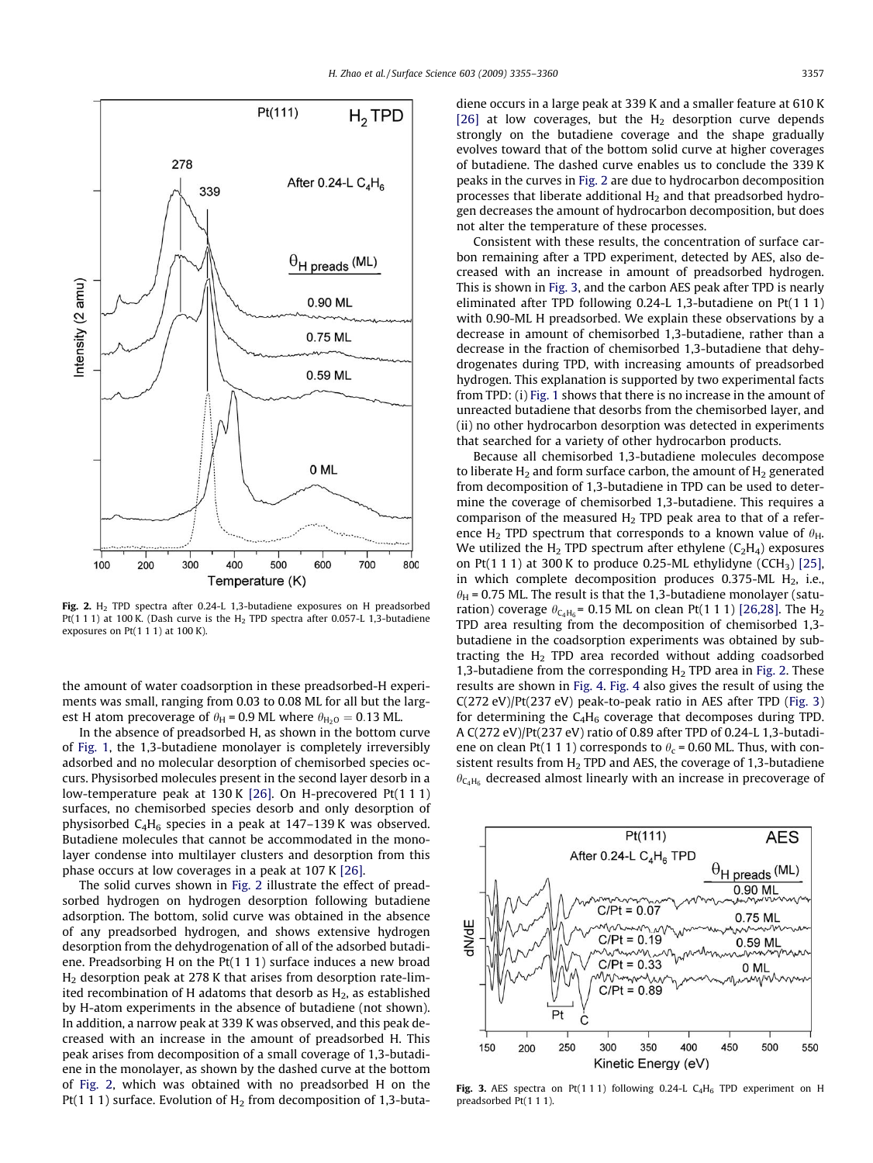

Fig. 2. H<sub>2</sub> TPD spectra after 0.24-L 1.3-butadiene exposures on H preadsorbed Pt(1 1 1) at 100 K. (Dash curve is the  $H_2$  TPD spectra after 0.057-L 1,3-butadiene exposures on Pt(1 1 1) at 100 K).

the amount of water coadsorption in these preadsorbed-H experiments was small, ranging from 0.03 to 0.08 ML for all but the largest H atom precoverage of  $\theta_H$  = 0.9 ML where  $\theta_{H_2O} = 0.13$  ML.

In the absence of preadsorbed H, as shown in the bottom curve of [Fig. 1](#page-1-0), the 1,3-butadiene monolayer is completely irreversibly adsorbed and no molecular desorption of chemisorbed species occurs. Physisorbed molecules present in the second layer desorb in a low-temperature peak at 130 K [\[26\]](#page-5-0). On H-precovered Pt(1 1 1) surfaces, no chemisorbed species desorb and only desorption of physisorbed  $C_4H_6$  species in a peak at 147–139 K was observed. Butadiene molecules that cannot be accommodated in the monolayer condense into multilayer clusters and desorption from this phase occurs at low coverages in a peak at 107 K [\[26\].](#page-5-0)

The solid curves shown in Fig. 2 illustrate the effect of preadsorbed hydrogen on hydrogen desorption following butadiene adsorption. The bottom, solid curve was obtained in the absence of any preadsorbed hydrogen, and shows extensive hydrogen desorption from the dehydrogenation of all of the adsorbed butadiene. Preadsorbing H on the Pt(1 1 1) surface induces a new broad H2 desorption peak at 278 K that arises from desorption rate-limited recombination of H adatoms that desorb as  $H_2$ , as established by H-atom experiments in the absence of butadiene (not shown). In addition, a narrow peak at 339 K was observed, and this peak decreased with an increase in the amount of preadsorbed H. This peak arises from decomposition of a small coverage of 1,3-butadiene in the monolayer, as shown by the dashed curve at the bottom of Fig. 2, which was obtained with no preadsorbed H on the Pt(1 1 1) surface. Evolution of  $H_2$  from decomposition of 1,3-butadiene occurs in a large peak at 339 K and a smaller feature at 610 K [\[26\]](#page-5-0) at low coverages, but the  $H_2$  desorption curve depends strongly on the butadiene coverage and the shape gradually evolves toward that of the bottom solid curve at higher coverages of butadiene. The dashed curve enables us to conclude the 339 K peaks in the curves in Fig. 2 are due to hydrocarbon decomposition processes that liberate additional  $H_2$  and that preadsorbed hydrogen decreases the amount of hydrocarbon decomposition, but does not alter the temperature of these processes.

Consistent with these results, the concentration of surface carbon remaining after a TPD experiment, detected by AES, also decreased with an increase in amount of preadsorbed hydrogen. This is shown in Fig. 3, and the carbon AES peak after TPD is nearly eliminated after TPD following 0.24-L 1,3-butadiene on Pt(1 1 1) with 0.90-ML H preadsorbed. We explain these observations by a decrease in amount of chemisorbed 1,3-butadiene, rather than a decrease in the fraction of chemisorbed 1,3-butadiene that dehydrogenates during TPD, with increasing amounts of preadsorbed hydrogen. This explanation is supported by two experimental facts from TPD: (i) [Fig. 1](#page-1-0) shows that there is no increase in the amount of unreacted butadiene that desorbs from the chemisorbed layer, and (ii) no other hydrocarbon desorption was detected in experiments that searched for a variety of other hydrocarbon products.

Because all chemisorbed 1,3-butadiene molecules decompose to liberate  $H_2$  and form surface carbon, the amount of  $H_2$  generated from decomposition of 1,3-butadiene in TPD can be used to determine the coverage of chemisorbed 1,3-butadiene. This requires a comparison of the measured  $H_2$  TPD peak area to that of a reference H<sub>2</sub> TPD spectrum that corresponds to a known value of  $\theta_H$ . We utilized the H<sub>2</sub> TPD spectrum after ethylene  $(C_2H_4)$  exposures on Pt(1 1 1) at 300 K to produce 0.25-ML ethylidyne (CCH<sub>3</sub>) [\[25\],](#page-5-0) in which complete decomposition produces 0.375-ML  $H_2$ , i.e.,  $h<sub>H</sub>$  = 0.75 ML. The result is that the 1,3-butadiene monolayer (saturation) coverage  $\theta_{C_4H_6}$  = 0.15 ML on clean Pt(1 1 1) [\[26,28\]](#page-5-0). The H<sub>2</sub> TPD area resulting from the decomposition of chemisorbed 1,3 butadiene in the coadsorption experiments was obtained by subtracting the  $H<sub>2</sub>$  TPD area recorded without adding coadsorbed 1,3-butadiene from the corresponding  $H<sub>2</sub>$  TPD area in Fig. 2. These results are shown in [Fig. 4.](#page-3-0) [Fig. 4](#page-3-0) also gives the result of using the C(272 eV)/Pt(237 eV) peak-to-peak ratio in AES after TPD (Fig. 3) for determining the  $C_4H_6$  coverage that decomposes during TPD. A C(272 eV)/Pt(237 eV) ratio of 0.89 after TPD of 0.24-L 1,3-butadiene on clean Pt(1 1 1) corresponds to  $\theta_c$  = 0.60 ML. Thus, with consistent results from  $H_2$  TPD and AES, the coverage of 1,3-butadiene  $\theta_{\text{C}_4H_6}$  decreased almost linearly with an increase in precoverage of



Fig. 3. AES spectra on Pt(111) following 0.24-L C<sub>4</sub>H<sub>6</sub> TPD experiment on H preadsorbed Pt(1 1 1).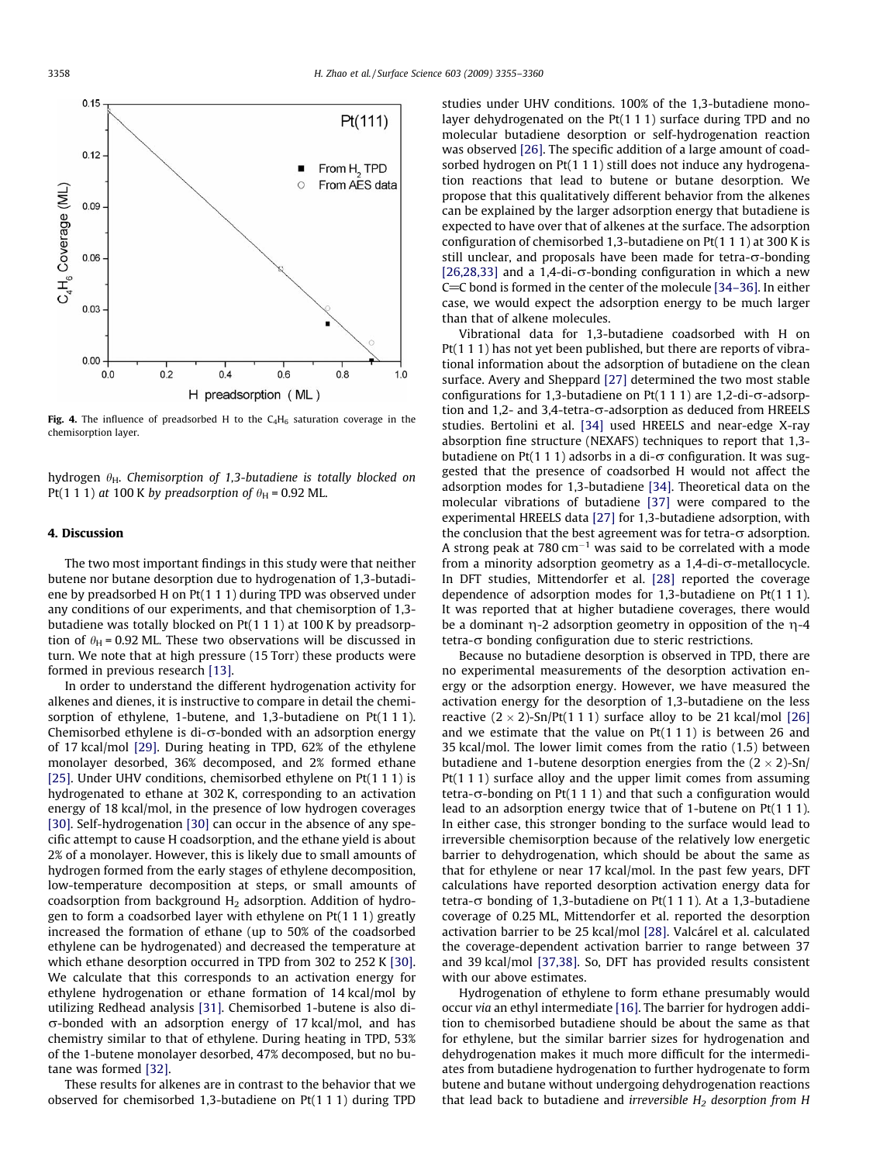<span id="page-3-0"></span>

Fig. 4. The influence of preadsorbed H to the  $C_4H_6$  saturation coverage in the chemisorption layer.

hydrogen  $\theta_H$ . Chemisorption of 1,3-butadiene is totally blocked on Pt(1 1 1) at 100 K by preadsorption of  $\theta_H$  = 0.92 ML.

#### 4. Discussion

The two most important findings in this study were that neither butene nor butane desorption due to hydrogenation of 1,3-butadiene by preadsorbed H on Pt(1 1 1) during TPD was observed under any conditions of our experiments, and that chemisorption of 1,3 butadiene was totally blocked on Pt(1 1 1) at 100 K by preadsorption of  $\theta_H$  = 0.92 ML. These two observations will be discussed in turn. We note that at high pressure (15 Torr) these products were formed in previous research [\[13\].](#page-5-0)

In order to understand the different hydrogenation activity for alkenes and dienes, it is instructive to compare in detail the chemisorption of ethylene, 1-butene, and 1,3-butadiene on Pt(1 1 1). Chemisorbed ethylene is di- $\sigma$ -bonded with an adsorption energy of 17 kcal/mol [\[29\]](#page-5-0). During heating in TPD, 62% of the ethylene monolayer desorbed, 36% decomposed, and 2% formed ethane [\[25\]](#page-5-0). Under UHV conditions, chemisorbed ethylene on Pt(111) is hydrogenated to ethane at 302 K, corresponding to an activation energy of 18 kcal/mol, in the presence of low hydrogen coverages [\[30\]](#page-5-0). Self-hydrogenation [30] can occur in the absence of any specific attempt to cause H coadsorption, and the ethane yield is about 2% of a monolayer. However, this is likely due to small amounts of hydrogen formed from the early stages of ethylene decomposition, low-temperature decomposition at steps, or small amounts of coadsorption from background  $H_2$  adsorption. Addition of hydrogen to form a coadsorbed layer with ethylene on Pt(1 1 1) greatly increased the formation of ethane (up to 50% of the coadsorbed ethylene can be hydrogenated) and decreased the temperature at which ethane desorption occurred in TPD from 302 to 252 K [\[30\].](#page-5-0) We calculate that this corresponds to an activation energy for ethylene hydrogenation or ethane formation of 14 kcal/mol by utilizing Redhead analysis [\[31\]](#page-5-0). Chemisorbed 1-butene is also di- $\sigma$ -bonded with an adsorption energy of 17 kcal/mol, and has chemistry similar to that of ethylene. During heating in TPD, 53% of the 1-butene monolayer desorbed, 47% decomposed, but no butane was formed [\[32\].](#page-5-0)

These results for alkenes are in contrast to the behavior that we observed for chemisorbed 1,3-butadiene on Pt(1 1 1) during TPD studies under UHV conditions. 100% of the 1,3-butadiene monolayer dehydrogenated on the Pt(1 1 1) surface during TPD and no molecular butadiene desorption or self-hydrogenation reaction was observed [\[26\]](#page-5-0). The specific addition of a large amount of coadsorbed hydrogen on Pt(1 1 1) still does not induce any hydrogenation reactions that lead to butene or butane desorption. We propose that this qualitatively different behavior from the alkenes can be explained by the larger adsorption energy that butadiene is expected to have over that of alkenes at the surface. The adsorption configuration of chemisorbed 1,3-butadiene on Pt(1 1 1) at 300 K is still unclear, and proposals have been made for tetra- $\sigma$ -bonding [\[26,28,33\]](#page-5-0) and a 1,4-di- $\sigma$ -bonding configuration in which a new C=C bond is formed in the center of the molecule [34-36]. In either case, we would expect the adsorption energy to be much larger than that of alkene molecules.

Vibrational data for 1,3-butadiene coadsorbed with H on Pt(1 1 1) has not yet been published, but there are reports of vibrational information about the adsorption of butadiene on the clean surface. Avery and Sheppard [\[27\]](#page-5-0) determined the two most stable configurations for 1,3-butadiene on  $Pt(1 1 1)$  are 1,2-di- $\sigma$ -adsorption and 1,2- and 3,4-tetra- $\sigma$ -adsorption as deduced from HREELS studies. Bertolini et al. [\[34\]](#page-5-0) used HREELS and near-edge X-ray absorption fine structure (NEXAFS) techniques to report that 1,3 butadiene on Pt(1 1 1) adsorbs in a di- $\sigma$  configuration. It was suggested that the presence of coadsorbed H would not affect the adsorption modes for 1,3-butadiene [\[34\]](#page-5-0). Theoretical data on the molecular vibrations of butadiene [\[37\]](#page-5-0) were compared to the experimental HREELS data [\[27\]](#page-5-0) for 1,3-butadiene adsorption, with the conclusion that the best agreement was for tetra- $\sigma$  adsorption. A strong peak at 780  $cm^{-1}$  was said to be correlated with a mode from a minority adsorption geometry as a  $1,4$ -di- $\sigma$ -metallocycle. In DFT studies, Mittendorfer et al. [\[28\]](#page-5-0) reported the coverage dependence of adsorption modes for 1,3-butadiene on Pt(1 1 1). It was reported that at higher butadiene coverages, there would be a dominant  $\eta$ -2 adsorption geometry in opposition of the  $\eta$ -4 tetra- $\sigma$  bonding configuration due to steric restrictions.

Because no butadiene desorption is observed in TPD, there are no experimental measurements of the desorption activation energy or the adsorption energy. However, we have measured the activation energy for the desorption of 1,3-butadiene on the less reactive  $(2 \times 2)$ -Sn/Pt $(1 1 1)$  surface alloy to be 21 kcal/mol [\[26\]](#page-5-0) and we estimate that the value on  $Pt(1 1 1)$  is between 26 and 35 kcal/mol. The lower limit comes from the ratio (1.5) between butadiene and 1-butene desorption energies from the  $(2 \times 2)$ -Sn/ Pt(1 1 1) surface alloy and the upper limit comes from assuming tetra- $\sigma$ -bonding on Pt(1 1 1) and that such a configuration would lead to an adsorption energy twice that of 1-butene on Pt(1 1 1). In either case, this stronger bonding to the surface would lead to irreversible chemisorption because of the relatively low energetic barrier to dehydrogenation, which should be about the same as that for ethylene or near 17 kcal/mol. In the past few years, DFT calculations have reported desorption activation energy data for tetra- $\sigma$  bonding of 1,3-butadiene on Pt(1 1 1). At a 1,3-butadiene coverage of 0.25 ML, Mittendorfer et al. reported the desorption activation barrier to be 25 kcal/mol [\[28\]](#page-5-0). Valcárel et al. calculated the coverage-dependent activation barrier to range between 37 and 39 kcal/mol [\[37,38\].](#page-5-0) So, DFT has provided results consistent with our above estimates.

Hydrogenation of ethylene to form ethane presumably would occur via an ethyl intermediate [\[16\].](#page-5-0) The barrier for hydrogen addition to chemisorbed butadiene should be about the same as that for ethylene, but the similar barrier sizes for hydrogenation and dehydrogenation makes it much more difficult for the intermediates from butadiene hydrogenation to further hydrogenate to form butene and butane without undergoing dehydrogenation reactions that lead back to butadiene and *irreversible*  $H_2$  desorption from H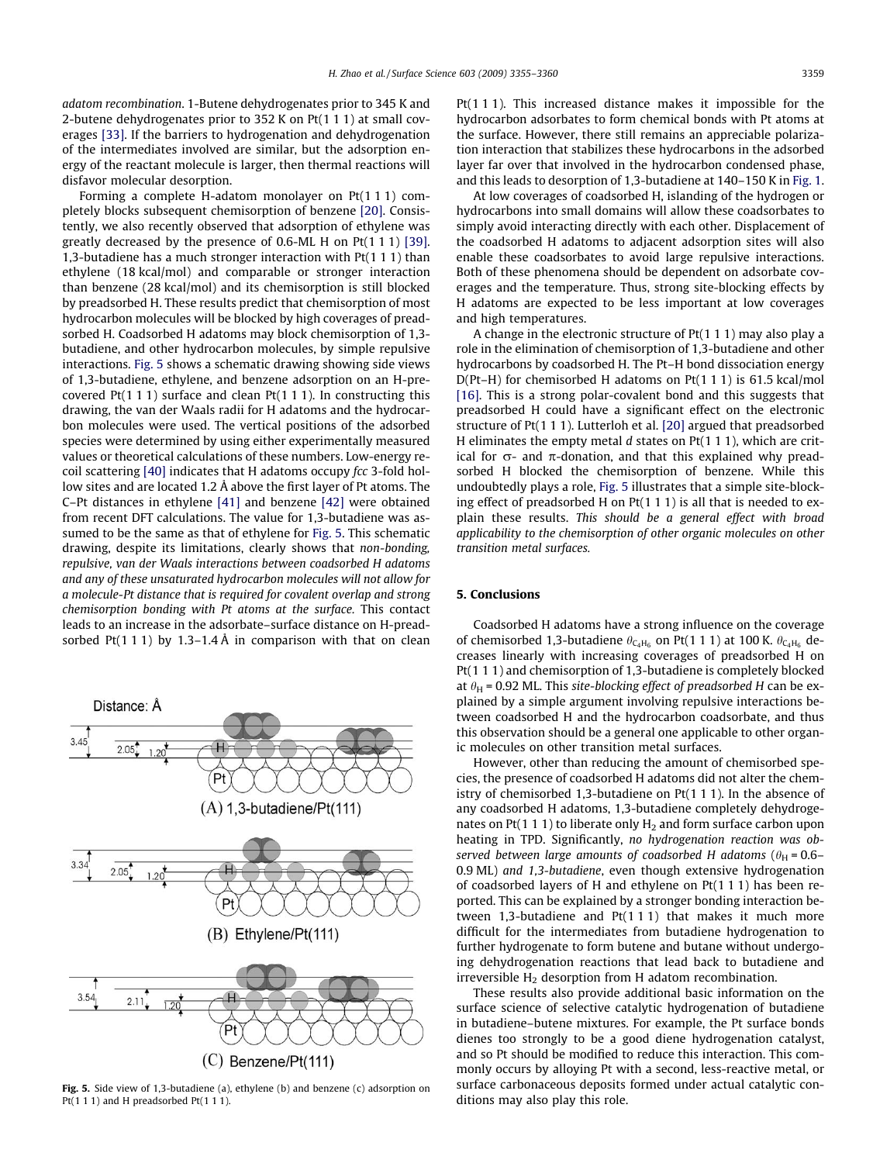adatom recombination. 1-Butene dehydrogenates prior to 345 K and 2-butene dehydrogenates prior to 352 K on Pt(1 1 1) at small coverages [\[33\].](#page-5-0) If the barriers to hydrogenation and dehydrogenation of the intermediates involved are similar, but the adsorption energy of the reactant molecule is larger, then thermal reactions will disfavor molecular desorption.

Forming a complete H-adatom monolayer on Pt(1 1 1) completely blocks subsequent chemisorption of benzene [\[20\]](#page-5-0). Consistently, we also recently observed that adsorption of ethylene was greatly decreased by the presence of 0.6-ML H on Pt(1 1 1) [\[39\].](#page-5-0) 1,3-butadiene has a much stronger interaction with Pt(1 1 1) than ethylene (18 kcal/mol) and comparable or stronger interaction than benzene (28 kcal/mol) and its chemisorption is still blocked by preadsorbed H. These results predict that chemisorption of most hydrocarbon molecules will be blocked by high coverages of preadsorbed H. Coadsorbed H adatoms may block chemisorption of 1,3 butadiene, and other hydrocarbon molecules, by simple repulsive interactions. Fig. 5 shows a schematic drawing showing side views of 1,3-butadiene, ethylene, and benzene adsorption on an H-precovered  $Pt(1 1 1)$  surface and clean  $Pt(1 1 1)$ . In constructing this drawing, the van der Waals radii for H adatoms and the hydrocarbon molecules were used. The vertical positions of the adsorbed species were determined by using either experimentally measured values or theoretical calculations of these numbers. Low-energy re-coil scattering [\[40\]](#page-5-0) indicates that H adatoms occupy fcc 3-fold hollow sites and are located 1.2 Å above the first layer of Pt atoms. The C–Pt distances in ethylene [\[41\]](#page-5-0) and benzene [\[42\]](#page-5-0) were obtained from recent DFT calculations. The value for 1,3-butadiene was assumed to be the same as that of ethylene for Fig. 5. This schematic drawing, despite its limitations, clearly shows that non-bonding, repulsive, van der Waals interactions between coadsorbed H adatoms and any of these unsaturated hydrocarbon molecules will not allow for a molecule-Pt distance that is required for covalent overlap and strong chemisorption bonding with Pt atoms at the surface. This contact leads to an increase in the adsorbate–surface distance on H-preadsorbed Pt(1 1 1) by 1.3–1.4 Å in comparison with that on clean

Distance: A  $205$ Pt  $(A)$  1,3-butadiene/Pt $(111)$  $\mathbf{\mathbf{\mathbf{\mathbf{\mathbf{\mathbf{H}}}}}}$ 2.05  $1.20$ Pt  $(B)$  Ethylene/Pt $(111)$ 3.54 2.11  $1.20$  $(C)$  Benzene/Pt $(111)$ 

Fig. 5. Side view of 1,3-butadiene (a), ethylene (b) and benzene (c) adsorption on Pt(1 1 1) and H preadsorbed Pt(1 1 1).

Pt(1 1 1). This increased distance makes it impossible for the hydrocarbon adsorbates to form chemical bonds with Pt atoms at the surface. However, there still remains an appreciable polarization interaction that stabilizes these hydrocarbons in the adsorbed layer far over that involved in the hydrocarbon condensed phase, and this leads to desorption of 1,3-butadiene at 140–150 K in [Fig. 1.](#page-1-0)

At low coverages of coadsorbed H, islanding of the hydrogen or hydrocarbons into small domains will allow these coadsorbates to simply avoid interacting directly with each other. Displacement of the coadsorbed H adatoms to adjacent adsorption sites will also enable these coadsorbates to avoid large repulsive interactions. Both of these phenomena should be dependent on adsorbate coverages and the temperature. Thus, strong site-blocking effects by H adatoms are expected to be less important at low coverages and high temperatures.

A change in the electronic structure of Pt(1 1 1) may also play a role in the elimination of chemisorption of 1,3-butadiene and other hydrocarbons by coadsorbed H. The Pt–H bond dissociation energy D(Pt–H) for chemisorbed H adatoms on Pt(1 1 1) is 61.5 kcal/mol [\[16\].](#page-5-0) This is a strong polar-covalent bond and this suggests that preadsorbed H could have a significant effect on the electronic structure of Pt(1 1 1). Lutterloh et al. [\[20\]](#page-5-0) argued that preadsorbed H eliminates the empty metal  $d$  states on Pt(1 1 1), which are critical for  $\sigma$ - and  $\pi$ -donation, and that this explained why preadsorbed H blocked the chemisorption of benzene. While this undoubtedly plays a role, Fig. 5 illustrates that a simple site-blocking effect of preadsorbed H on Pt(1 1 1) is all that is needed to explain these results. This should be a general effect with broad applicability to the chemisorption of other organic molecules on other transition metal surfaces.

### 5. Conclusions

Coadsorbed H adatoms have a strong influence on the coverage of chemisorbed 1,3-butadiene  $\theta_{C_4H_6}$  on Pt(1 1 1) at 100 K.  $\theta_{C_4H_6}$  decreases linearly with increasing coverages of preadsorbed H on Pt(1 1 1) and chemisorption of 1,3-butadiene is completely blocked at  $\theta_H$  = 0.92 ML. This site-blocking effect of preadsorbed H can be explained by a simple argument involving repulsive interactions between coadsorbed H and the hydrocarbon coadsorbate, and thus this observation should be a general one applicable to other organic molecules on other transition metal surfaces.

However, other than reducing the amount of chemisorbed species, the presence of coadsorbed H adatoms did not alter the chemistry of chemisorbed 1,3-butadiene on Pt(1 1 1). In the absence of any coadsorbed H adatoms, 1,3-butadiene completely dehydrogenates on Pt(1 1 1) to liberate only  $H_2$  and form surface carbon upon heating in TPD. Significantly, no hydrogenation reaction was observed between large amounts of coadsorbed H adatoms ( $\theta_H = 0.6$ – 0.9 ML) and 1,3-butadiene, even though extensive hydrogenation of coadsorbed layers of H and ethylene on Pt(1 1 1) has been reported. This can be explained by a stronger bonding interaction between 1,3-butadiene and Pt(1 1 1) that makes it much more difficult for the intermediates from butadiene hydrogenation to further hydrogenate to form butene and butane without undergoing dehydrogenation reactions that lead back to butadiene and irreversible  $H<sub>2</sub>$  desorption from H adatom recombination.

These results also provide additional basic information on the surface science of selective catalytic hydrogenation of butadiene in butadiene–butene mixtures. For example, the Pt surface bonds dienes too strongly to be a good diene hydrogenation catalyst, and so Pt should be modified to reduce this interaction. This commonly occurs by alloying Pt with a second, less-reactive metal, or surface carbonaceous deposits formed under actual catalytic conditions may also play this role.